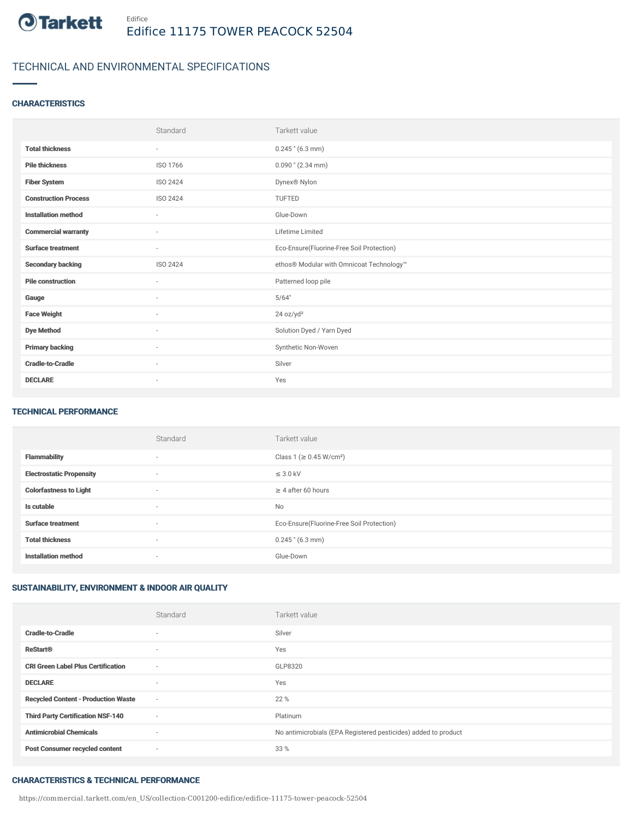

## TECHNICAL AND ENVIRONMENTAL SPECIFICATIONS

### **CHARACTERISTICS**

|                             | Standard                 | Tarkett value                             |
|-----------------------------|--------------------------|-------------------------------------------|
| <b>Total thickness</b>      | $\sim$                   | $0.245$ " (6.3 mm)                        |
| <b>Pile thickness</b>       | ISO 1766                 | $0.090$ " (2.34 mm)                       |
| <b>Fiber System</b>         | ISO 2424                 | Dynex® Nylon                              |
| <b>Construction Process</b> | ISO 2424                 | TUFTED                                    |
| <b>Installation method</b>  | $\sim$                   | Glue-Down                                 |
| <b>Commercial warranty</b>  | $\sim$                   | Lifetime Limited                          |
| <b>Surface treatment</b>    | $\sim$                   | Eco-Ensure(Fluorine-Free Soil Protection) |
| <b>Secondary backing</b>    | ISO 2424                 | ethos® Modular with Omnicoat Technology™  |
| <b>Pile construction</b>    | $\overline{\phantom{a}}$ | Patterned loop pile                       |
| Gauge                       | ×.                       | 5/64"                                     |
| <b>Face Weight</b>          | ٠                        | 24 oz/yd <sup>2</sup>                     |
| <b>Dye Method</b>           | $\sim$                   | Solution Dyed / Yarn Dyed                 |
| <b>Primary backing</b>      | $\sim$                   | Synthetic Non-Woven                       |
| <b>Cradle-to-Cradle</b>     | ٠                        | Silver                                    |
| <b>DECLARE</b>              | ٠                        | Yes                                       |

#### TECHNICAL PERFORMANCE

|                                 | Standard                 | Tarkett value                             |
|---------------------------------|--------------------------|-------------------------------------------|
| <b>Flammability</b>             | $\overline{\phantom{a}}$ | Class 1 (≥ 0.45 W/cm <sup>2</sup> )       |
| <b>Electrostatic Propensity</b> | $\overline{\phantom{a}}$ | $\leq$ 3.0 kV                             |
| <b>Colorfastness to Light</b>   | $\overline{\phantom{a}}$ | $\geq 4$ after 60 hours                   |
| Is cutable                      | $\sim$                   | <b>No</b>                                 |
| <b>Surface treatment</b>        | $\overline{\phantom{a}}$ | Eco-Ensure(Fluorine-Free Soil Protection) |
| <b>Total thickness</b>          | $\overline{\phantom{a}}$ | $0.245$ " (6.3 mm)                        |
| <b>Installation method</b>      | $\overline{\phantom{a}}$ | Glue-Down                                 |

### SUSTAINABILITY, ENVIRONMENT & INDOOR AIR QUALITY

|                                            | Standard | Tarkett value                                                  |
|--------------------------------------------|----------|----------------------------------------------------------------|
| <b>Cradle-to-Cradle</b>                    | $\sim$   | Silver                                                         |
| <b>ReStart®</b>                            | $\sim$   | Yes                                                            |
| <b>CRI Green Label Plus Certification</b>  | ٠        | GLP8320                                                        |
| <b>DECLARE</b>                             |          | Yes                                                            |
| <b>Recycled Content - Production Waste</b> | $\sim$   | 22 %                                                           |
| <b>Third Party Certification NSF-140</b>   | $\sim$   | Platinum                                                       |
| <b>Antimicrobial Chemicals</b>             | $\sim$   | No antimicrobials (EPA Registered pesticides) added to product |
| <b>Post Consumer recycled content</b>      | $\sim$   | 33 %                                                           |

### CHARACTERISTICS & TECHNICAL PERFORMANCE